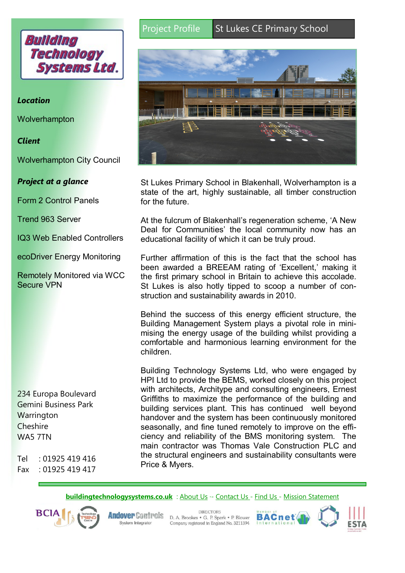

## *Location*

**Wolverhampton** 

### *Client*

Wolverhampton City Council

## *Project at a glance*

Form 2 Control Panels

Trend 963 Server

IQ3 Web Enabled Controllers

ecoDriver Energy Monitoring

Remotely Monitored via WCC Secure VPN

234 Europa Boulevard Gemini Business Park **Warrington Cheshire** WA5 7TN

 $Tel \t101925419416$ Fax : 01925 419 417

# Project Profile St Lukes CE Primary School



St Lukes Primary School in Blakenhall, Wolverhampton is a state of the art, highly sustainable, all timber construction for the future.

At the fulcrum of Blakenhall's regeneration scheme, 'A New Deal for Communities' the local community now has an educational facility of which it can be truly proud.

Further affirmation of this is the fact that the school has been awarded a BREEAM rating of 'Excellent,' making it the first primary school in Britain to achieve this accolade. St Lukes is also hotly tipped to scoop a number of construction and sustainability awards in 2010.

Behind the success of this energy efficient structure, the Building Management System plays a pivotal role in minimising the energy usage of the building whilst providing a comfortable and harmonious learning environment for the children.

Building Technology Systems Ltd, who were engaged by HPI Ltd to provide the BEMS, worked closely on this project with architects, Architype and consulting engineers, Ernest Griffiths to maximize the performance of the building and building services plant. This has continued well beyond handover and the system has been continuously monitored seasonally, and fine tuned remotely to improve on the efficiency and reliability of the BMS monitoring system. The main contractor was Thomas Vale Construction PLC and the structural engineers and sustainability consultants were Price & Myers.

### **[buildingtechnologysystems.co.uk](http://www.buildingtechnologysystems.co.uk)** : [About Us](http://www.buildingtechnologysystems.co.uk/company-info/about/) ·- [Contact Us -](http://www.buildingtechnologysystems.co.uk/company-info/contact-us/) [Find Us](http://www.buildingtechnologysystems.co.uk/company-info/find-us/) - [Mission Statement](http://www.buildingtechnologysystems.co.uk/company-info/mission-statement/)



System Integrator

**DIRECTORS Andover Controls** D. A. Brookes . G. P. Spark . P. Blower Company registered in England No. 3211394

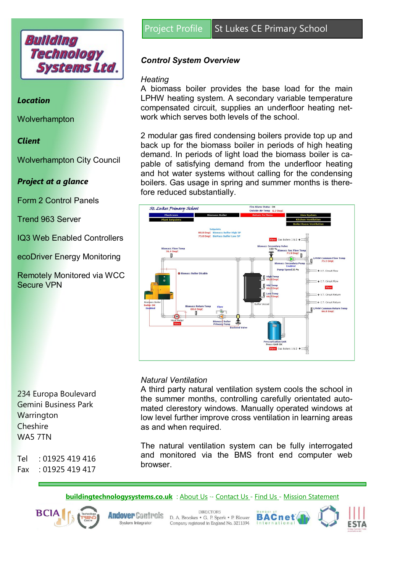

### *Location*

**Wolverhampton** 

### *Client*

Wolverhampton City Council

## *Project at a glance*

Form 2 Control Panels

Trend 963 Server

IQ3 Web Enabled Controllers

ecoDriver Energy Monitoring

Remotely Monitored via WCC Secure VPN

234 Europa Boulevard Gemini Business Park **Warrington Cheshire** WA5 7TN

 $Tel \t101925419416$ Fax : 01925 419 417

# *Control System Overview*

### *Heating*

A biomass boiler provides the base load for the main LPHW heating system. A secondary variable temperature compensated circuit, supplies an underfloor heating network which serves both levels of the school.

2 modular gas fired condensing boilers provide top up and back up for the biomass boiler in periods of high heating demand. In periods of light load the biomass boiler is capable of satisfying demand from the underfloor heating and hot water systems without calling for the condensing boilers. Gas usage in spring and summer months is therefore reduced substantially.



### *Natural Ventilation*

A third party natural ventilation system cools the school in the summer months, controlling carefully orientated automated clerestory windows. Manually operated windows at low level further improve cross ventilation in learning areas as and when required.

The natural ventilation system can be fully interrogated and monitored via the BMS front end computer web browser.

**[buildingtechnologysystems.co.uk](http://www.buildingtechnologysystems.co.uk)** : [About Us](http://www.buildingtechnologysystems.co.uk/company-info/about/) ·- [Contact Us -](http://www.buildingtechnologysystems.co.uk/company-info/contact-us/) [Find Us](http://www.buildingtechnologysystems.co.uk/company-info/find-us/) - [Mission Statement](http://www.buildingtechnologysystems.co.uk/company-info/mission-statement/)



System Integrator

**DIRECTORS Andover Controls** D. A. Brookes . G. P. Spark . P. Blower Company registered in England No. 3211394